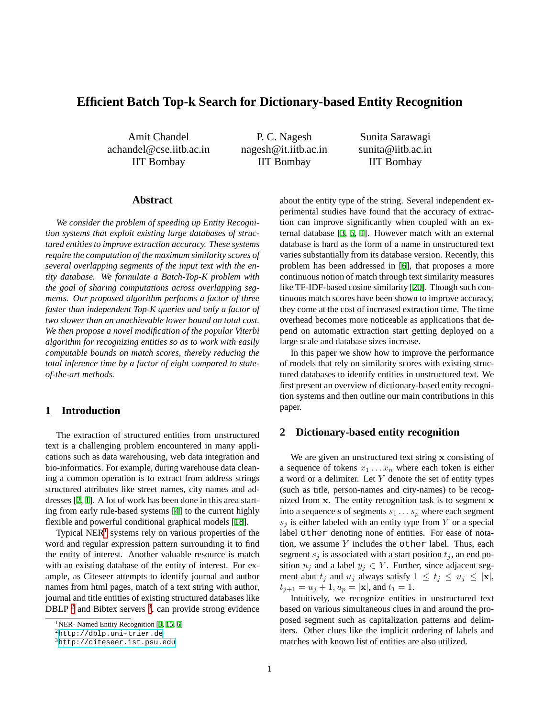# **Efficient Batch Top-k Search for Dictionary-based Entity Recognition**

Amit Chandel achandel@cse.iitb.ac.in IIT Bombay

P. C. Nagesh nagesh@it.iitb.ac.in IIT Bombay

Sunita Sarawagi sunita@iitb.ac.in IIT Bombay

### **Abstract**

*We consider the problem of speeding up Entity Recognition systems that exploit existing large databases of structured entities to improve extraction accuracy. These systems require the computation of the maximum similarity scores of several overlapping segments of the input text with the entity database. We formulate a Batch-Top-K problem with the goal of sharing computations across overlapping segments. Our proposed algorithm performs a factor of three faster than independent Top-K queries and only a factor of two slower than an unachievable lower bound on total cost. We then propose a novel modification of the popular Viterbi algorithm for recognizing entities so as to work with easily computable bounds on match scores, thereby reducing the total inference time by a factor of eight compared to stateof-the-art methods.*

## **1 Introduction**

The extraction of structured entities from unstructured text is a challenging problem encountered in many applications such as data warehousing, web data integration and bio-informatics. For example, during warehouse data cleaning a common operation is to extract from address strings structured attributes like street names, city names and addresses [\[2](#page-9-0), [1\]](#page-9-1). A lot of work has been done in this area starting from early rule-based systems [[4\]](#page-9-2) to the current highly flexible and powerful conditional graphical models [[18\]](#page-9-3).

Typical NER $<sup>1</sup>$  $<sup>1</sup>$  $<sup>1</sup>$  systems rely on various properties of the</sup> word and regular expression pattern surrounding it to find the entity of interest. Another valuable resource is match with an existing database of the entity of interest. For example, as Citeseer attempts to identify journal and author names from html pages, match of a text string with author, journal and title entities of existing structured databases like DBLP  $^2$  $^2$  and Bibtex servers  $^3$  $^3$ , can provide strong evidence

about the entity type of the string. Several independent experimental studies have found that the accuracy of extraction can improve significantly when coupled with an external database [[3,](#page-9-4) [6](#page-9-6), [1\]](#page-9-1). However match with an external database is hard as the form of a name in unstructured text varies substantially from its database version. Recently, this problem has been addressed in [[6\]](#page-9-6), that proposes a more continuous notion of match through text similarity measures like TF-IDF-based cosine similarity [[20](#page-9-7)]. Though such continuous match scores have been shown to improve accuracy, they come at the cost of increased extraction time. The time overhead becomes more noticeable as applications that depend on automatic extraction start getting deployed on a large scale and database sizes increase.

In this paper we show how to improve the performance of models that rely on similarity scores with existing structured databases to identify entities in unstructured text. We first present an overview of dictionary-based entity recognition systems and then outline our main contributions in this paper.

## **2 Dictionary-based entity recognition**

We are given an unstructured text string x consisting of a sequence of tokens  $x_1 \ldots x_n$  where each token is either a word or a delimiter. Let  $Y$  denote the set of entity types (such as title, person-names and city-names) to be recognized from x. The entity recognition task is to segment x into a sequence s of segments  $s_1 \ldots s_p$  where each segment  $s_i$  is either labeled with an entity type from Y or a special label other denoting none of entities. For ease of notation, we assume  $Y$  includes the other label. Thus, each segment  $s_i$  is associated with a start position  $t_i$ , an end position  $u_j$  and a label  $y_j \in Y$ . Further, since adjacent segment abut  $t_j$  and  $u_j$  always satisfy  $1 \le t_j \le u_j \le |\mathbf{x}|$ ,  $t_{j+1} = u_j + 1, u_p = |\mathbf{x}|$ , and  $t_1 = 1$ .

Intuitively, we recognize entities in unstructured text based on various simultaneous clues in and around the proposed segment such as capitalization patterns and delimiters. Other clues like the implicit ordering of labels and matches with known list of entities are also utilized.

<span id="page-0-0"></span><sup>&</sup>lt;sup>1</sup>NER- Named Entity Recognition [\[3](#page-9-4), [15](#page-9-5), [6](#page-9-6)]

<span id="page-0-1"></span><sup>2</sup><http://dblp.uni-trier.de>

<span id="page-0-2"></span><sup>3</sup><http://citeseer.ist.psu.edu>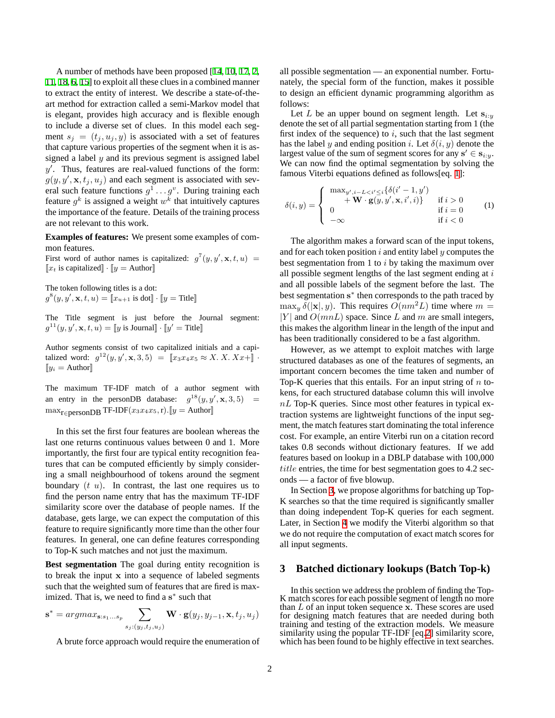A number of methods have been proposed [[14,](#page-9-8) [10](#page-9-9), [17](#page-9-10), [2,](#page-9-0) [11](#page-9-11), [18](#page-9-3), [6,](#page-9-6) [15](#page-9-5)] to exploit all these clues in a combined manner to extract the entity of interest. We describe a state-of-theart method for extraction called a semi-Markov model that is elegant, provides high accuracy and is flexible enough to include a diverse set of clues. In this model each segment  $s_j = (t_j, u_j, y)$  is associated with a set of features that capture various properties of the segment when it is assigned a label  $y$  and its previous segment is assigned label  $y'$ . Thus, features are real-valued functions of the form:  $g(y, y', \mathbf{x}, t_j, u_j)$  and each segment is associated with several such feature functions  $g^1 \dots g^v$ . During training each feature  $g^k$  is assigned a weight  $w^k$  that intuitively captures the importance of the feature. Details of the training process are not relevant to this work.

**Examples of features:** We present some examples of common features.

First word of author names is capitalized:  $g^{7}(y, y', \mathbf{x}, t, u)$  =  $\llbracket x_t$  is capitalized $\rrbracket \cdot \llbracket y = \text{Author} \rrbracket$ 

The token following titles is a dot:  $g^{8}(y, y', \mathbf{x}, t, u) = \llbracket x_{u+1} \text{ is dot} \rrbracket \cdot \llbracket y = \text{Title} \rrbracket$ 

The Title segment is just before the Journal segment:  $g^{11}(y, y', \mathbf{x}, t, u) = ||y$  is Journal $|| \cdot ||y'| =$  Title

Author segments consist of two capitalized initials and a capitalized word:  $g^{12}(y, y', \mathbf{x}, 3, 5) = \left[ \begin{matrix} x_3x_4x_5 \approx X, X, Xx + \end{matrix} \right]$ .  $[y_i = \text{Author}]$ 

The maximum TF-IDF match of a author segment with an entry in the personDB database:  $g^{18}(y, y', \mathbf{x}, 3, 5)$  =  $\max_{\mathbf{r} \in \text{personDB}} \text{TF-IDF}(x_3x_4x_5, \mathbf{r}).[y = \text{Author}]\}$ 

In this set the first four features are boolean whereas the last one returns continuous values between 0 and 1. More importantly, the first four are typical entity recognition features that can be computed efficiently by simply considering a small neighbourhood of tokens around the segment boundary  $(t, u)$ . In contrast, the last one requires us to find the person name entry that has the maximum TF-IDF similarity score over the database of people names. If the database, gets large, we can expect the computation of this feature to require significantly more time than the other four features. In general, one can define features corresponding to Top-K such matches and not just the maximum.

**Best segmentation** The goal during entity recognition is to break the input x into a sequence of labeled segments such that the weighted sum of features that are fired is maximized. That is, we need to find a  $s^*$  such that

$$
\mathbf{s}^* = argmax_{\mathbf{s}:s_1...s_p} \sum_{s_j:(y_j,t_j,u_j)} \mathbf{W} \cdot \mathbf{g}(y_j,y_{j-1},\mathbf{x},t_j,u_j)
$$

A brute force approach would require the enumeration of

all possible segmentation — an exponential number. Fortunately, the special form of the function, makes it possible to design an efficient dynamic programming algorithm as follows:

Let L be an upper bound on segment length. Let  $s_{i:y}$ denote the set of all partial segmentation starting from 1 (the first index of the sequence) to  $i$ , such that the last segment has the label y and ending position i. Let  $\delta(i, y)$  denote the largest value of the sum of segment scores for any  $s' \in s_{i:y}$ . We can now find the optimal segmentation by solving the famous Viterbi equations defined as follows[eq. [1\]](#page-1-0):

<span id="page-1-0"></span>
$$
\delta(i,y) = \begin{cases}\n\max_{y',i-L 0 \\
0 & \text{if } i = 0 \\
-\infty & \text{if } i < 0\n\end{cases}
$$
(1)

The algorithm makes a forward scan of the input tokens, and for each token position  $i$  and entity label  $y$  computes the best segmentation from 1 to  $i$  by taking the maximum over all possible segment lengths of the last segment ending at  $i$ and all possible labels of the segment before the last. The best segmentation s<sup>\*</sup> then corresponds to the path traced by  $\max_{y} \delta(|\mathbf{x}|, y)$ . This requires  $O(nm^2L)$  time where  $m =$ |Y| and  $O(mnL)$  space. Since L and m are small integers, this makes the algorithm linear in the length of the input and has been traditionally considered to be a fast algorithm.

However, as we attempt to exploit matches with large structured databases as one of the features of segments, an important concern becomes the time taken and number of Top-K queries that this entails. For an input string of  $n$  tokens, for each structured database column this will involve  $nL$  Top-K queries. Since most other features in typical extraction systems are lightweight functions of the input segment, the match features start dominating the total inference cost. For example, an entire Viterbi run on a citation record takes 0.8 seconds without dictionary features. If we add features based on lookup in a DBLP database with 100,000 title entries, the time for best segmentation goes to 4.2 seconds — a factor of five blowup.

In Section [3](#page-1-1), we propose algorithms for batching up Top-K searches so that the time required is significantly smaller than doing independent Top-K queries for each segment. Later, in Section [4](#page-4-0) we modify the Viterbi algorithm so that we do not require the computation of exact match scores for all input segments.

### <span id="page-1-1"></span>**3 Batched dictionary lookups (Batch Top-k)**

In this section we address the problem of finding the Top-K match scores for each possible segment of length no more than  $L$  of an input token sequence  $\bf{x}$ . These scores are used for designing match features that are needed during both training and testing of the extraction models. We measure similarity using the popular TF-IDF [eq[.2](#page-2-0)] similarity score, which has been found to be highly effective in text searches.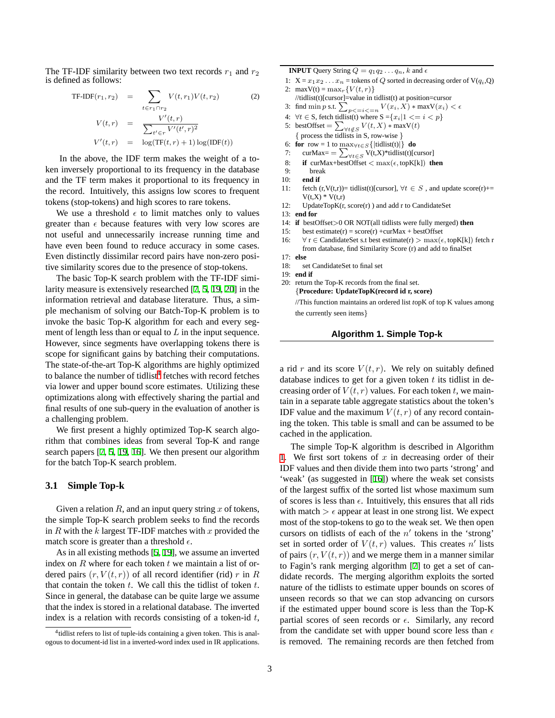The TF-IDF similarity between two text records  $r_1$  and  $r_2$ is defined as follows:

<span id="page-2-0"></span>
$$
\text{TF-IDF}(r_1, r_2) = \sum_{t \in r_1 \cap r_2} V(t, r_1) V(t, r_2) \tag{2}
$$
\n
$$
V(t, r) = \frac{V'(t, r)}{\sum_{t' \in r} V'(t', r)^2}
$$
\n
$$
V'(t, r) = \log(\text{TF}(t, r) + 1) \log(\text{IDF}(t))
$$

In the above, the IDF term makes the weight of a token inversely proportional to its frequency in the database and the TF term makes it proportional to its frequency in the record. Intuitively, this assigns low scores to frequent tokens (stop-tokens) and high scores to rare tokens.

We use a threshold  $\epsilon$  to limit matches only to values greater than  $\epsilon$  because features with very low scores are not useful and unnecessarily increase running time and have even been found to reduce accuracy in some cases. Even distinctly dissimilar record pairs have non-zero positive similarity scores due to the presence of stop-tokens.

The basic Top-K search problem with the TF-IDF similarity measure is extensively researched [[7,](#page-9-12) [5,](#page-9-13) [19](#page-9-14), [20](#page-9-7)] in the information retrieval and database literature. Thus, a simple mechanism of solving our Batch-Top-K problem is to invoke the basic Top-K algorithm for each and every segment of length less than or equal to  $L$  in the input sequence. However, since segments have overlapping tokens there is scope for significant gains by batching their computations. The state-of-the-art Top-K algorithms are highly optimized to balance the number of tidlist<sup>[4](#page-2-1)</sup> fetches with record fetches via lower and upper bound score estimates. Utilizing these optimizations along with effectively sharing the partial and final results of one sub-query in the evaluation of another is a challenging problem.

We first present a highly optimized Top-K search algorithm that combines ideas from several Top-K and range search papers [\[7](#page-9-12), [5](#page-9-13), [19](#page-9-14), [16](#page-9-15)]. We then present our algorithm for the batch Top-K search problem.

### <span id="page-2-2"></span>**3.1 Simple Top-k**

Given a relation  $R$ , and an input query string  $x$  of tokens, the simple Top-K search problem seeks to find the records in R with the k largest TF-IDF matches with x provided the match score is greater than a threshold  $\epsilon$ .

As in all existing methods [[5,](#page-9-13) [19\]](#page-9-14), we assume an inverted index on  $R$  where for each token  $t$  we maintain a list of ordered pairs  $(r, V(t, r))$  of all record identifier (rid) r in R that contain the token  $t$ . We call this the tidlist of token  $t$ . Since in general, the database can be quite large we assume that the index is stored in a relational database. The inverted index is a relation with records consisting of a token-id  $t$ ,

**INPUT** Query String  $Q = q_1 q_2 \dots q_n$ , k and  $\epsilon$ 

- 1:  $X = x_1 x_2 \dots x_n$  = tokens of Q sorted in decreasing order of  $V(q_i, Q)$ 2:  $maxV(t) = max<sub>r</sub> {V(t, r)}$
- //tidlist(t)[cursor]=value in tidlist(t) at position=cursor
- 3: find min p s.t.  $\sum_{p \le i \le n} V(x_i, X) * \max V(x_i) < \epsilon$
- 4:  $\forall t \in S$ , fetch tidlist(t) where  $S = \{x_i | 1 \le i \le p\}$ <br>5: bestOffset =  $\sum_{\forall t \in S} V(t, X) * \max V(t)$
- 5: bestOffset =  $\sum_{\forall t \notin S} V(t, X) * \max V(t)$
- { process the tidlists in S, row-wise }
- 6: **for** row = 1 to  $\max_{\forall t \in S} {\mid}$  tidlist(t)|} **do**<br>7: curMax= =  $\sum_{x \in S} {\mid}$  v(t,X)\*tidlist(t)[c
- 7: curMax= =  $\sum_{\forall t \in S} V(t,X)^*$ tidlist(t)[cursor]
- 8: **if** curMax+bestOffset  $<$  max( $\epsilon$ , topK[k]) **then**
- 9: break 10: **end if**
- 
- 11: fetch  $(r, V(t,r))$ = tidlist(t)[cursor],  $\forall t \in S$ , and update score(r)+=  $V(t, X) * V(t,r)$
- 12: UpdateTopK(r, score(r) ) and add r to CandidateSet
- 13: **end for**
- 14: **if** bestOffset>0 OR NOT(all tidlists were fully merged) **then**
- 15: best estimate(r) =  $score(r)$  +curMax + bestOffset
- 16:  $\forall$  r ∈ CandidateSet s.t best estimate(r) > max( $\epsilon$ , topK[k]) fetch r from database, find Similarity Score (r) and add to finalSet
- 17: **else**
- 18: set CandidateSet to final set
- 19: **end if**
- 20: return the Top-K records from the final set. {**Procedure: UpdateTopK(record id r, score)**

//This function maintains an ordered list *t*opK of top K values among the currently seen items}

### **Algorithm 1. Simple Top-k**

a rid r and its score  $V(t, r)$ . We rely on suitably defined database indices to get for a given token  $t$  its tidlist in decreasing order of  $V(t, r)$  values. For each token t, we maintain in a separate table aggregate statistics about the token's IDF value and the maximum  $V(t, r)$  of any record containing the token. This table is small and can be assumed to be cached in the application.

The simple Top-K algorithm is described in Algorithm 1. We first sort tokens of  $x$  in decreasing order of their IDF values and then divide them into two parts 'strong' and 'weak' (as suggested in [[16\]](#page-9-15)) where the weak set consists of the largest suffix of the sorted list whose maximum sum of scores is less than  $\epsilon$ . Intuitively, this ensures that all rids with match  $\geq \epsilon$  appear at least in one strong list. We expect most of the stop-tokens to go to the weak set. We then open cursors on tidlists of each of the  $n'$  tokens in the 'strong' set in sorted order of  $V(t, r)$  values. This creates n' lists of pairs  $(r, V(t, r))$  and we merge them in a manner similar to Fagin's rank merging algorithm [[7\]](#page-9-12) to get a set of candidate records. The merging algorithm exploits the sorted nature of the tidlists to estimate upper bounds on scores of unseen records so that we can stop advancing on cursors if the estimated upper bound score is less than the Top-K partial scores of seen records or  $\epsilon$ . Similarly, any record from the candidate set with upper bound score less than  $\epsilon$ is removed. The remaining records are then fetched from

<span id="page-2-1"></span><sup>4</sup> tidlist refers to list of tuple-ids containing a given token. This is analogous to document-id list in a inverted-word index used in IR applications.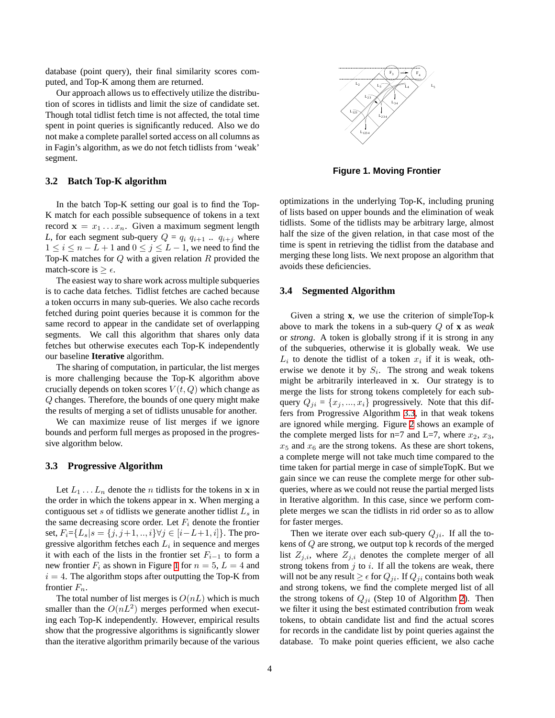database (point query), their final similarity scores computed, and Top-K among them are returned.

Our approach allows us to effectively utilize the distribution of scores in tidlists and limit the size of candidate set. Though total tidlist fetch time is not affected, the total time spent in point queries is significantly reduced. Also we do not make a complete parallel sorted access on all columns as in Fagin's algorithm, as we do not fetch tidlists from 'weak' segment.

#### **3.2 Batch Top-K algorithm**

In the batch Top-K setting our goal is to find the Top-K match for each possible subsequence of tokens in a text record  $\mathbf{x} = x_1 \dots x_n$ . Given a maximum segment length *L*, for each segment sub-query  $Q = q_i q_{i+1} ... q_{i+j}$  where  $1 \leq i \leq n - L + 1$  and  $0 \leq j \leq L - 1$ , we need to find the Top-K matches for  $Q$  with a given relation  $R$  provided the match-score is  $\geq \epsilon$ .

The easiest way to share work across multiple subqueries is to cache data fetches. Tidlist fetches are cached because a token occurrs in many sub-queries. We also cache records fetched during point queries because it is common for the same record to appear in the candidate set of overlapping segments. We call this algorithm that shares only data fetches but otherwise executes each Top-K independently our baseline **Iterative** algorithm.

The sharing of computation, in particular, the list merges is more challenging because the Top-K algorithm above crucially depends on token scores  $V(t, Q)$  which change as Q changes. Therefore, the bounds of one query might make the results of merging a set of tidlists unusable for another.

We can maximize reuse of list merges if we ignore bounds and perform full merges as proposed in the progressive algorithm below.

#### <span id="page-3-1"></span>**3.3 Progressive Algorithm**

Let  $L_1 \ldots L_n$  denote the *n* tidlists for the tokens in **x** in the order in which the tokens appear in x. When merging a contiguous set s of tidlists we generate another tidlist  $L_s$  in the same decreasing score order. Let  $F_i$  denote the frontier set,  $F_i = \{L_s | s = \{j, j+1, \ldots, i\} \forall j \in [i-L+1, i]\}.$  The progressive algorithm fetches each  $L_i$  in sequence and merges it with each of the lists in the frontier set  $F_{i-1}$  to form a new frontier  $F_i$  as shown in Figure [1](#page-3-0) for  $n = 5$ ,  $L = 4$  and  $i = 4$ . The algorithm stops after outputting the Top-K from frontier  $F_n$ .

The total number of list merges is  $O(nL)$  which is much smaller than the  $O(nL^2)$  merges performed when executing each Top-K independently. However, empirical results show that the progressive algorithms is significantly slower than the iterative algorithm primarily because of the various



<span id="page-3-0"></span>**Figure 1. Moving Frontier**

optimizations in the underlying Top-K, including pruning of lists based on upper bounds and the elimination of weak tidlists. Some of the tidlists may be arbitrary large, almost half the size of the given relation, in that case most of the time is spent in retrieving the tidlist from the database and merging these long lists. We next propose an algorithm that avoids these deficiencies.

#### **3.4 Segmented Algorithm**

Given a string **x**, we use the criterion of simpleTop-k above to mark the tokens in a sub-query Q of **x** as *weak* or *strong*. A token is globally strong if it is strong in any of the subqueries, otherwise it is globally weak. We use  $L_i$  to denote the tidlist of a token  $x_i$  if it is weak, otherwise we denote it by  $S_i$ . The strong and weak tokens might be arbitrarily interleaved in x. Our strategy is to merge the lists for strong tokens completely for each subquery  $Q_{ji} = \{x_j, ..., x_i\}$  progressively. Note that this differs from Progressive Algorithm [3.3,](#page-3-1) in that weak tokens are ignored while merging. Figure [2](#page-4-1) shows an example of the complete merged lists for  $n=7$  and  $L=7$ , where  $x_2, x_3$ ,  $x_5$  and  $x_6$  are the strong tokens. As these are short tokens, a complete merge will not take much time compared to the time taken for partial merge in case of simpleTopK. But we gain since we can reuse the complete merge for other subqueries, where as we could not reuse the partial merged lists in Iterative algorithm. In this case, since we perform complete merges we scan the tidlists in rid order so as to allow for faster merges.

Then we iterate over each sub-query  $Q_{ji}$ . If all the tokens of Q are strong, we output top k records of the merged list  $Z_{j,i}$ , where  $Z_{j,i}$  denotes the complete merger of all strong tokens from  $j$  to  $i$ . If all the tokens are weak, there will not be any result  $\geq \epsilon$  for  $Q_{ji}$ . If  $Q_{ji}$  contains both weak and strong tokens, we find the complete merged list of all the strong tokens of  $Q_{ji}$  (Step 10 of Algorithm 2). Then we filter it using the best estimated contribution from weak tokens, to obtain candidate list and find the actual scores for records in the candidate list by point queries against the database. To make point queries efficient, we also cache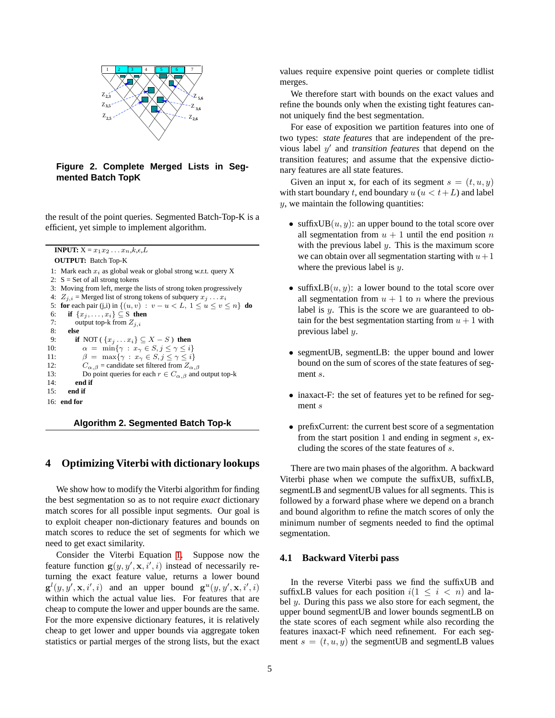

<span id="page-4-1"></span>**Figure 2. Complete Merged Lists in Segmented Batch TopK**

the result of the point queries. Segmented Batch-Top-K is a efficient, yet simple to implement algorithm.

```
INPUT: X = x_1 x_2 \ldots x_n, k, \epsilon, LOUTPUT: Batch Top-K
 1: Mark each x_i as global weak or global strong w.r.t. query X
 2: S = Set of all strong tokens3: Moving from left, merge the lists of strong token progressively
 4: Z_{i,i} = Merged list of strong tokens of subquery x_i \dots x_i5: for each pair (j,i) in \{(u, v) : v - u < L, 1 \le u \le v \le n\} do
 6: if \{x_j, \ldots, x_i\} \subseteq S then<br>7: output top-k from Z_{j,i}output top-k from Z_{j,i}8: else
 9: if NOT (\{x_j \dots x_i\} \subseteq X - S) then
10: \alpha = \min\{\gamma : x_{\gamma} \in S, j \leq \gamma \leq i\}11: \beta = \max{\gamma : x_{\gamma} \in S, j \leq \gamma \leq i}12: C_{\alpha,\beta} = candidate set filtered from Z_{\alpha,\beta}13: Do point queries for each r \in C_{\alpha,\beta} and output top-k<br>14: end if
           end if
15: end if
16: end for
```


## <span id="page-4-0"></span>**4 Optimizing Viterbi with dictionary lookups**

We show how to modify the Viterbi algorithm for finding the best segmentation so as to not require *exact* dictionary match scores for all possible input segments. Our goal is to exploit cheaper non-dictionary features and bounds on match scores to reduce the set of segments for which we need to get exact similarity.

Consider the Viterbi Equation [1.](#page-1-0) Suppose now the feature function  $g(y, y', x, i', i)$  instead of necessarily returning the exact feature value, returns a lower bound  $\mathbf{g}^{l}(y, y', \mathbf{x}, i', i)$  and an upper bound  $\mathbf{g}^{u}(y, y', \mathbf{x}, i', i)$ within which the actual value lies. For features that are cheap to compute the lower and upper bounds are the same. For the more expensive dictionary features, it is relatively cheap to get lower and upper bounds via aggregate token statistics or partial merges of the strong lists, but the exact values require expensive point queries or complete tidlist merges.

We therefore start with bounds on the exact values and refine the bounds only when the existing tight features cannot uniquely find the best segmentation.

For ease of exposition we partition features into one of two types: *state features* that are independent of the previous label y' and *transition features* that depend on the transition features; and assume that the expensive dictionary features are all state features.

Given an input x, for each of its segment  $s = (t, u, y)$ with start boundary t, end boundary  $u (u < t + L)$  and label  $y$ , we maintain the following quantities:

- suffix  $UB(u, y)$ : an upper bound to the total score over all segmentation from  $u + 1$  until the end position n with the previous label  $y$ . This is the maximum score we can obtain over all segmentation starting with  $u+1$ where the previous label is  $y$ .
- suffixLB $(u, y)$ : a lower bound to the total score over all segmentation from  $u + 1$  to n where the previous label is y. This is the score we are guaranteed to obtain for the best segmentation starting from  $u + 1$  with previous label y.
- segmentUB, segmentLB: the upper bound and lower bound on the sum of scores of the state features of segment s.
- inaxact-F: the set of features yet to be refined for segment s
- prefixCurrent: the current best score of a segmentation from the start position 1 and ending in segment  $s$ , excluding the scores of the state features of s.

There are two main phases of the algorithm. A backward Viterbi phase when we compute the suffixUB, suffixLB, segmentLB and segmentUB values for all segments. This is followed by a forward phase where we depend on a branch and bound algorithm to refine the match scores of only the minimum number of segments needed to find the optimal segmentation.

## **4.1 Backward Viterbi pass**

In the reverse Viterbi pass we find the suffixUB and suffixLB values for each position  $i(1 \leq i \leq n)$  and label y. During this pass we also store for each segment, the upper bound segmentUB and lower bounds segmentLB on the state scores of each segment while also recording the features inaxact-F which need refinement. For each segment  $s = (t, u, y)$  the segmentUB and segmentLB values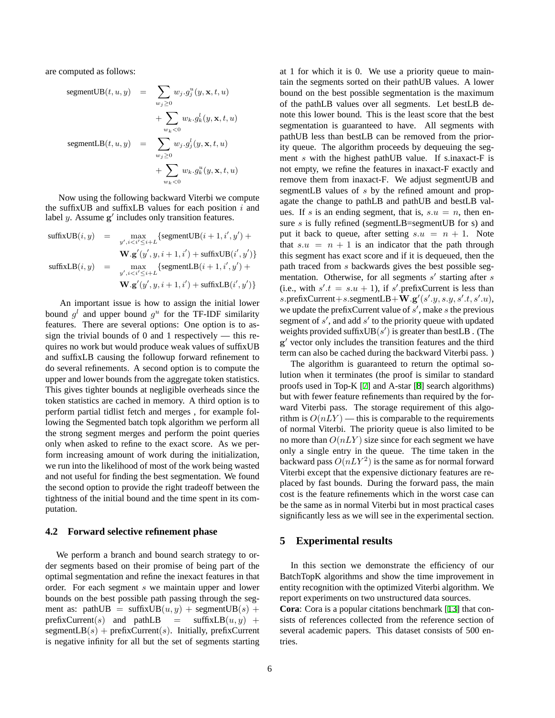are computed as follows:

$$
\text{segmentUB}(t, u, y) = \sum_{w_j \ge 0} w_j \cdot g_j^u(y, \mathbf{x}, t, u)
$$
\n
$$
+ \sum_{w_k < 0} w_k \cdot g_k^l(y, \mathbf{x}, t, u)
$$
\n
$$
\text{segmentLB}(t, u, y) = \sum_{w_j \ge 0} w_j \cdot g_j^l(y, \mathbf{x}, t, u)
$$
\n
$$
+ \sum_{w_k < 0} w_k \cdot g_k^u(y, \mathbf{x}, t, u)
$$

Now using the following backward Viterbi we compute the suffixUB and suffixLB values for each position  $i$  and label  $y$ . Assume  $g'$  includes only transition features.

$$
\begin{array}{rcl} \mathrm{suffixUB}(i,y) & = & \max\limits_{y',i
$$

An important issue is how to assign the initial lower bound  $g^l$  and upper bound  $g^u$  for the TF-IDF similarity features. There are several options: One option is to assign the trivial bounds of 0 and 1 respectively — this requires no work but would produce weak values of suffixUB and suffixLB causing the followup forward refinement to do several refinements. A second option is to compute the upper and lower bounds from the aggregate token statistics. This gives tighter bounds at negligible overheads since the token statistics are cached in memory. A third option is to perform partial tidlist fetch and merges , for example following the Segmented batch topk algorithm we perform all the strong segment merges and perform the point queries only when asked to refine to the exact score. As we perform increasing amount of work during the initialization, we run into the likelihood of most of the work being wasted and not useful for finding the best segmentation. We found the second option to provide the right tradeoff between the tightness of the initial bound and the time spent in its computation.

#### **4.2 Forward selective refinement phase**

We perform a branch and bound search strategy to order segments based on their promise of being part of the optimal segmentation and refine the inexact features in that order. For each segment s we maintain upper and lower bounds on the best possible path passing through the segment as: pathUB =  $\text{suffixUB}(u, y) + \text{segmentUB}(s) +$ prefixCurrent(s) and pathLB  $=$  suffixLB(u, y) + segmentLB(s) + prefixCurrent(s). Initially, prefixCurrent is negative infinity for all but the set of segments starting at 1 for which it is 0. We use a priority queue to maintain the segments sorted on their pathUB values. A lower bound on the best possible segmentation is the maximum of the pathLB values over all segments. Let bestLB denote this lower bound. This is the least score that the best segmentation is guaranteed to have. All segments with pathUB less than bestLB can be removed from the priority queue. The algorithm proceeds by dequeuing the segment s with the highest pathUB value. If s.inaxact-F is not empty, we refine the features in inaxact-F exactly and remove them from inaxact-F. We adjust segmentUB and segmentLB values of s by the refined amount and propagate the change to pathLB and pathUB and bestLB values. If s is an ending segment, that is,  $s.u = n$ , then ensure  $s$  is fully refined (segmentLB=segmentUB for s) and put it back to queue, after setting  $s.u = n + 1$ . Note that  $s.u = n + 1$  is an indicator that the path through this segment has exact score and if it is dequeued, then the path traced from s backwards gives the best possible segmentation. Otherwise, for all segments  $s'$  starting after  $s$ (i.e., with  $s'.t = s.u + 1$ ), if s' prefixCurrent is less than s.prefixCurrent+s.segmentLB+ $\mathbf{W}.\mathbf{g}'(s',y,s,y,s',t,s',u),$ we update the prefixCurrent value of  $s'$ , make s the previous segment of  $s'$ , and add  $s'$  to the priority queue with updated weights provided suffix  $UB(s')$  is greater than best LB. (The g' vector only includes the transition features and the third term can also be cached during the backward Viterbi pass. )

The algorithm is guaranteed to return the optimal solution when it terminates (the proof is similar to standard proofs used in Top-K [[7\]](#page-9-12) and A-star [[8\]](#page-9-16) search algorithms) but with fewer feature refinements than required by the forward Viterbi pass. The storage requirement of this algorithm is  $O(nLY)$  — this is comparable to the requirements of normal Viterbi. The priority queue is also limited to be no more than  $O(nLY)$  size since for each segment we have only a single entry in the queue. The time taken in the backward pass  $O(nLY^2)$  is the same as for normal forward Viterbi except that the expensive dictionary features are replaced by fast bounds. During the forward pass, the main cost is the feature refinements which in the worst case can be the same as in normal Viterbi but in most practical cases significantly less as we will see in the experimental section.

## **5 Experimental results**

In this section we demonstrate the efficiency of our BatchTopK algorithms and show the time improvement in entity recognition with the optimized Viterbi algorithm. We report experiments on two unstructured data sources.

**Cora**: Cora is a popular citations benchmark [\[13](#page-9-17)] that consists of references collected from the reference section of several academic papers. This dataset consists of 500 entries.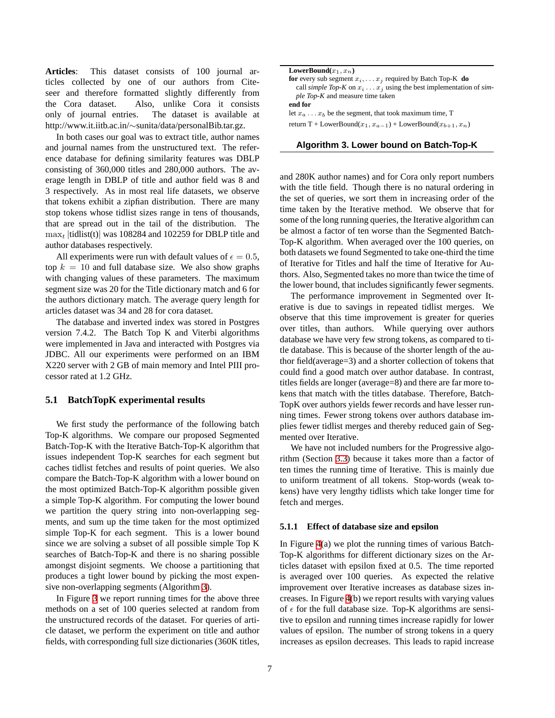**Articles**: This dataset consists of 100 journal articles collected by one of our authors from Citeseer and therefore formatted slightly differently from the Cora dataset. Also, unlike Cora it consists only of journal entries. The dataset is available at http://www.it.iitb.ac.in/∼sunita/data/personalBib.tar.gz.

In both cases our goal was to extract title, author names and journal names from the unstructured text. The reference database for defining similarity features was DBLP consisting of 360,000 titles and 280,000 authors. The average length in DBLP of title and author field was 8 and 3 respectively. As in most real life datasets, we observe that tokens exhibit a zipfian distribution. There are many stop tokens whose tidlist sizes range in tens of thousands, that are spread out in the tail of the distribution. The  $\max_t |tidlist(t)|$  was 108284 and 102259 for DBLP title and author databases respectively.

All experiments were run with default values of  $\epsilon = 0.5$ , top  $k = 10$  and full database size. We also show graphs with changing values of these parameters. The maximum segment size was 20 for the Title dictionary match and 6 for the authors dictionary match. The average query length for articles dataset was 34 and 28 for cora dataset.

The database and inverted index was stored in Postgres version 7.4.2. The Batch Top K and Viterbi algorithms were implemented in Java and interacted with Postgres via JDBC. All our experiments were performed on an IBM X220 server with 2 GB of main memory and Intel PIII processor rated at 1.2 GHz.

## **5.1 BatchTopK experimental results**

We first study the performance of the following batch Top-K algorithms. We compare our proposed Segmented Batch-Top-K with the Iterative Batch-Top-K algorithm that issues independent Top-K searches for each segment but caches tidlist fetches and results of point queries. We also compare the Batch-Top-K algorithm with a lower bound on the most optimized Batch-Top-K algorithm possible given a simple Top-K algorithm. For computing the lower bound we partition the query string into non-overlapping segments, and sum up the time taken for the most optimized simple Top-K for each segment. This is a lower bound since we are solving a subset of all possible simple Top K searches of Batch-Top-K and there is no sharing possible amongst disjoint segments. We choose a partitioning that produces a tight lower bound by picking the most expensive non-overlapping segments (Algorithm 3).

In Figure [3](#page-7-0) we report running times for the above three methods on a set of 100 queries selected at random from the unstructured records of the dataset. For queries of article dataset, we perform the experiment on title and author fields, with corresponding full size dictionaries (360K titles,

 $LowerBound(x_1, x_n)$ **for** every sub segment  $x_i, \ldots, x_j$  required by Batch Top-K **do** call *simple Top-K* on  $x_i \nvert x_j$  using the best implementation of *simple Top-K* and measure time taken **end for** let  $x_a \ldots x_b$  be the segment, that took maximum time, T return T + LowerBound $(x_1, x_{a-1})$  + LowerBound $(x_{b+1}, x_n)$ 

#### **Algorithm 3. Lower bound on Batch-Top-K**

and 280K author names) and for Cora only report numbers with the title field. Though there is no natural ordering in the set of queries, we sort them in increasing order of the time taken by the Iterative method. We observe that for some of the long running queries, the Iterative algorithm can be almost a factor of ten worse than the Segmented Batch-Top-K algorithm. When averaged over the 100 queries, on both datasets we found Segmented to take one-third the time of Iterative for Titles and half the time of Iterative for Authors. Also, Segmented takes no more than twice the time of the lower bound, that includes significantly fewer segments.

The performance improvement in Segmented over Iterative is due to savings in repeated tidlist merges. We observe that this time improvement is greater for queries over titles, than authors. While querying over authors database we have very few strong tokens, as compared to title database. This is because of the shorter length of the author field(average=3) and a shorter collection of tokens that could find a good match over author database. In contrast, titles fields are longer (average=8) and there are far more tokens that match with the titles database. Therefore, Batch-TopK over authors yields fewer records and have lesser running times. Fewer strong tokens over authors database implies fewer tidlist merges and thereby reduced gain of Segmented over Iterative.

We have not included numbers for the Progressive algorithm (Section [3.3](#page-3-1)) because it takes more than a factor of ten times the running time of Iterative. This is mainly due to uniform treatment of all tokens. Stop-words (weak tokens) have very lengthy tidlists which take longer time for fetch and merges.

#### **5.1.1 Effect of database size and epsilon**

In Figure [4](#page-7-1)(a) we plot the running times of various Batch-Top-K algorithms for different dictionary sizes on the Articles dataset with epsilon fixed at 0.5. The time reported is averaged over 100 queries. As expected the relative improvement over Iterative increases as database sizes increases. In Figure [4\(](#page-7-1)b) we report results with varying values of  $\epsilon$  for the full database size. Top-K algorithms are sensitive to epsilon and running times increase rapidly for lower values of epsilon. The number of strong tokens in a query increases as epsilon decreases. This leads to rapid increase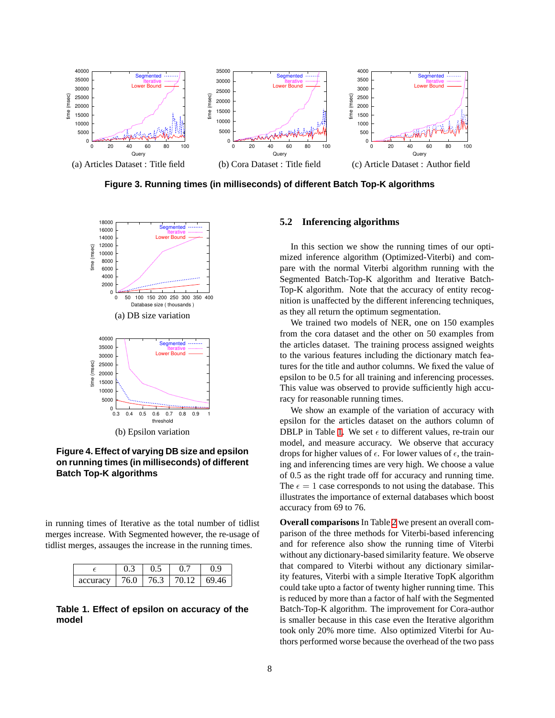

<span id="page-7-0"></span>**Figure 3. Running times (in milliseconds) of different Batch Top-K algorithms**



<span id="page-7-1"></span>**Figure 4. Effect of varying DB size and epsilon on running times (in milliseconds) of different Batch Top-K algorithms**

in running times of Iterative as the total number of tidlist merges increase. With Segmented however, the re-usage of tidlist merges, assauges the increase in the running times.

| accuracy | 76.0 | 76.3 | 70.12 | 69.46 |
|----------|------|------|-------|-------|

<span id="page-7-2"></span>**Table 1. Effect of epsilon on accuracy of the model**

### **5.2 Inferencing algorithms**

In this section we show the running times of our optimized inference algorithm (Optimized-Viterbi) and compare with the normal Viterbi algorithm running with the Segmented Batch-Top-K algorithm and Iterative Batch-Top-K algorithm. Note that the accuracy of entity recognition is unaffected by the different inferencing techniques, as they all return the optimum segmentation.

We trained two models of NER, one on 150 examples from the cora dataset and the other on 50 examples from the articles dataset. The training process assigned weights to the various features including the dictionary match features for the title and author columns. We fixed the value of epsilon to be 0.5 for all training and inferencing processes. This value was observed to provide sufficiently high accuracy for reasonable running times.

We show an example of the variation of accuracy with epsilon for the articles dataset on the authors column of DBLP in Table [1.](#page-7-2) We set  $\epsilon$  to different values, re-train our model, and measure accuracy. We observe that accuracy drops for higher values of  $\epsilon$ . For lower values of  $\epsilon$ , the training and inferencing times are very high. We choose a value of 0.5 as the right trade off for accuracy and running time. The  $\epsilon = 1$  case corresponds to not using the database. This illustrates the importance of external databases which boost accuracy from 69 to 76.

**Overall comparisons** In Table [2](#page-8-0) we present an overall comparison of the three methods for Viterbi-based inferencing and for reference also show the running time of Viterbi without any dictionary-based similarity feature. We observe that compared to Viterbi without any dictionary similarity features, Viterbi with a simple Iterative TopK algorithm could take upto a factor of twenty higher running time. This is reduced by more than a factor of half with the Segmented Batch-Top-K algorithm. The improvement for Cora-author is smaller because in this case even the Iterative algorithm took only 20% more time. Also optimized Viterbi for Authors performed worse because the overhead of the two pass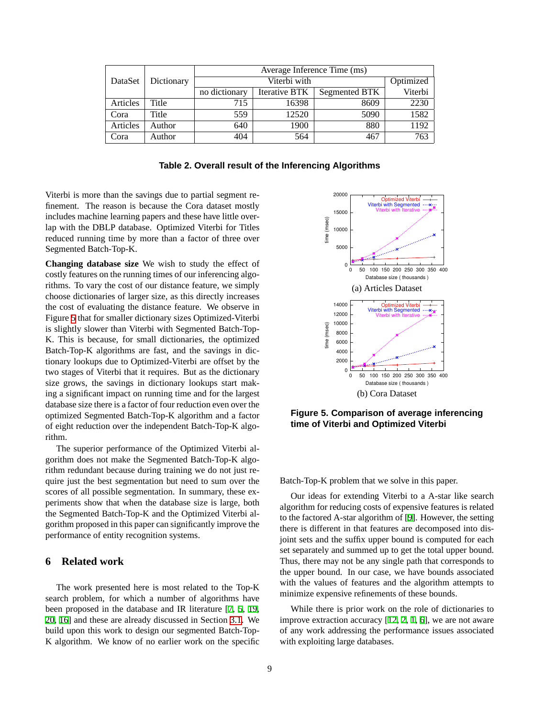|          |            | Average Inference Time (ms) |                      |                      |           |  |
|----------|------------|-----------------------------|----------------------|----------------------|-----------|--|
| DataSet  | Dictionary | Viterbi with                |                      |                      | Optimized |  |
|          |            | no dictionary               | <b>Iterative BTK</b> | <b>Segmented BTK</b> | Viterbi   |  |
| Articles | Title      | 715                         | 16398                | 8609                 | 2230      |  |
| Cora     | Title      | 559                         | 12520                | 5090                 | 1582      |  |
| Articles | Author     | 640                         | 1900                 | 880                  | 1192      |  |
| Cora     | Author     | 404                         | 564                  | 467                  | 763       |  |

<span id="page-8-0"></span>**Table 2. Overall result of the Inferencing Algorithms**

Viterbi is more than the savings due to partial segment refinement. The reason is because the Cora dataset mostly includes machine learning papers and these have little overlap with the DBLP database. Optimized Viterbi for Titles reduced running time by more than a factor of three over Segmented Batch-Top-K.

**Changing database size** We wish to study the effect of costly features on the running times of our inferencing algorithms. To vary the cost of our distance feature, we simply choose dictionaries of larger size, as this directly increases the cost of evaluating the distance feature. We observe in Figure [5](#page-8-1) that for smaller dictionary sizes Optimized-Viterbi is slightly slower than Viterbi with Segmented Batch-Top-K. This is because, for small dictionaries, the optimized Batch-Top-K algorithms are fast, and the savings in dictionary lookups due to Optimized-Viterbi are offset by the two stages of Viterbi that it requires. But as the dictionary size grows, the savings in dictionary lookups start making a significant impact on running time and for the largest database size there is a factor of four reduction even over the optimized Segmented Batch-Top-K algorithm and a factor of eight reduction over the independent Batch-Top-K algorithm.

The superior performance of the Optimized Viterbi algorithm does not make the Segmented Batch-Top-K algorithm redundant because during training we do not just require just the best segmentation but need to sum over the scores of all possible segmentation. In summary, these experiments show that when the database size is large, both the Segmented Batch-Top-K and the Optimized Viterbi algorithm proposed in this paper can significantly improve the performance of entity recognition systems.

## **6 Related work**

The work presented here is most related to the Top-K search problem, for which a number of algorithms have been proposed in the database and IR literature [[7,](#page-9-12) [5,](#page-9-13) [19,](#page-9-14) [20](#page-9-7), [16](#page-9-15)] and these are already discussed in Section [3.1.](#page-2-2) We build upon this work to design our segmented Batch-Top-K algorithm. We know of no earlier work on the specific



<span id="page-8-1"></span>**Figure 5. Comparison of average inferencing time of Viterbi and Optimized Viterbi**

Batch-Top-K problem that we solve in this paper.

Our ideas for extending Viterbi to a A-star like search algorithm for reducing costs of expensive features is related to the factored A-star algorithm of [\[9](#page-9-18)]. However, the setting there is different in that features are decomposed into disjoint sets and the suffix upper bound is computed for each set separately and summed up to get the total upper bound. Thus, there may not be any single path that corresponds to the upper bound. In our case, we have bounds associated with the values of features and the algorithm attempts to minimize expensive refinements of these bounds.

While there is prior work on the role of dictionaries to improve extraction accuracy [\[12](#page-9-19), [2](#page-9-0), [1](#page-9-1), [6](#page-9-6)], we are not aware of any work addressing the performance issues associated with exploiting large databases.